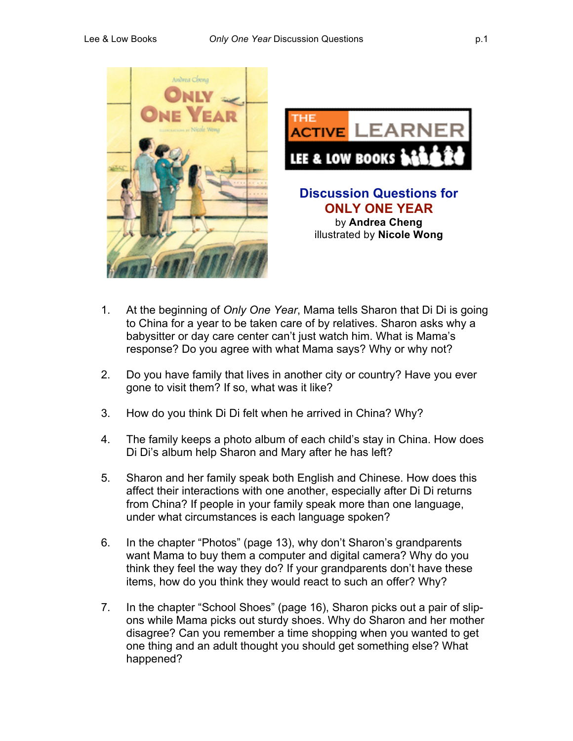



# **Discussion Questions for ONLY ONE YEAR** by **Andrea Cheng** illustrated by **Nicole Wong**

- 1. At the beginning of *Only One Year*, Mama tells Sharon that Di Di is going to China for a year to be taken care of by relatives. Sharon asks why a babysitter or day care center can't just watch him. What is Mama's response? Do you agree with what Mama says? Why or why not?
- 2. Do you have family that lives in another city or country? Have you ever gone to visit them? If so, what was it like?
- 3. How do you think Di Di felt when he arrived in China? Why?
- 4. The family keeps a photo album of each child's stay in China. How does Di Di's album help Sharon and Mary after he has left?
- 5. Sharon and her family speak both English and Chinese. How does this affect their interactions with one another, especially after Di Di returns from China? If people in your family speak more than one language, under what circumstances is each language spoken?
- 6. In the chapter "Photos" (page 13), why don't Sharon's grandparents want Mama to buy them a computer and digital camera? Why do you think they feel the way they do? If your grandparents don't have these items, how do you think they would react to such an offer? Why?
- 7. In the chapter "School Shoes" (page 16), Sharon picks out a pair of slipons while Mama picks out sturdy shoes. Why do Sharon and her mother disagree? Can you remember a time shopping when you wanted to get one thing and an adult thought you should get something else? What happened?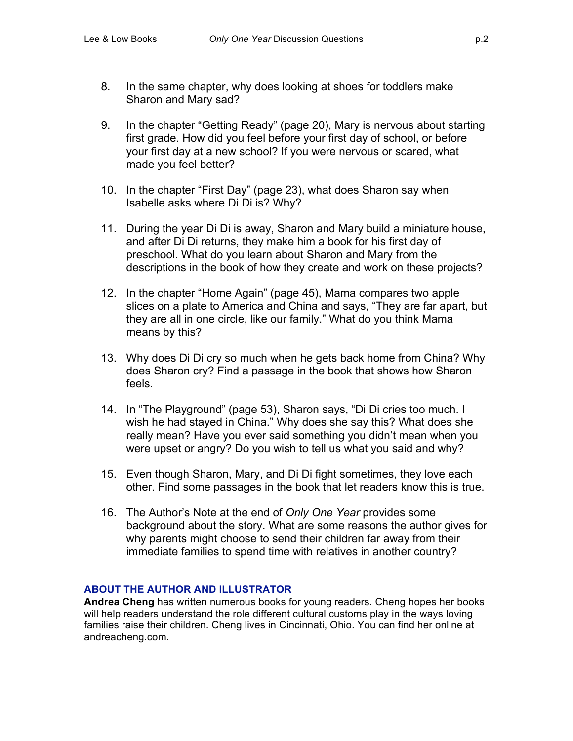- 8. In the same chapter, why does looking at shoes for toddlers make Sharon and Mary sad?
- 9. In the chapter "Getting Ready" (page 20), Mary is nervous about starting first grade. How did you feel before your first day of school, or before your first day at a new school? If you were nervous or scared, what made you feel better?
- 10. In the chapter "First Day" (page 23), what does Sharon say when Isabelle asks where Di Di is? Why?
- 11. During the year Di Di is away, Sharon and Mary build a miniature house, and after Di Di returns, they make him a book for his first day of preschool. What do you learn about Sharon and Mary from the descriptions in the book of how they create and work on these projects?
- 12. In the chapter "Home Again" (page 45), Mama compares two apple slices on a plate to America and China and says, "They are far apart, but they are all in one circle, like our family." What do you think Mama means by this?
- 13. Why does Di Di cry so much when he gets back home from China? Why does Sharon cry? Find a passage in the book that shows how Sharon feels.
- 14. In "The Playground" (page 53), Sharon says, "Di Di cries too much. I wish he had stayed in China." Why does she say this? What does she really mean? Have you ever said something you didn't mean when you were upset or angry? Do you wish to tell us what you said and why?
- 15. Even though Sharon, Mary, and Di Di fight sometimes, they love each other. Find some passages in the book that let readers know this is true.
- 16. The Author's Note at the end of *Only One Year* provides some background about the story. What are some reasons the author gives for why parents might choose to send their children far away from their immediate families to spend time with relatives in another country?

## **ABOUT THE AUTHOR AND ILLUSTRATOR**

**Andrea Cheng** has written numerous books for young readers. Cheng hopes her books will help readers understand the role different cultural customs play in the ways loving families raise their children. Cheng lives in Cincinnati, Ohio. You can find her online at andreacheng.com.